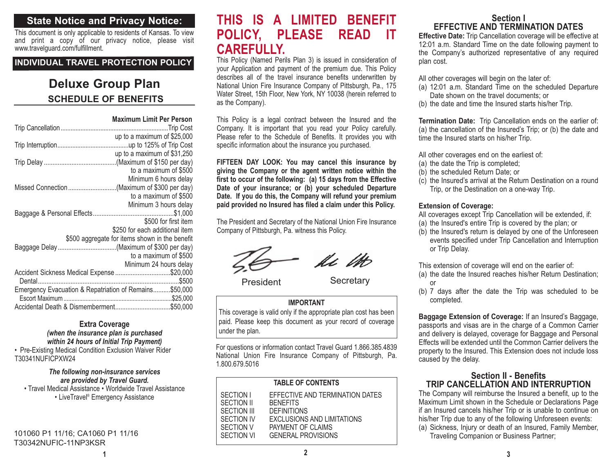# **State Notice and Privacy Notice:**

This document is only applicable to residents of Kansas. To view and print a copy of our privacy notice, please visit www.travelguard.com/fulfillment.

#### **INDIVIDUAL TRAVEL PROTECTION POLICY**

# **SCHEDULE OF BENEFITSDeluxe Group Plan**

|                                                        | <b>Maximum Limit Per Person</b>                                                  |  |
|--------------------------------------------------------|----------------------------------------------------------------------------------|--|
|                                                        |                                                                                  |  |
|                                                        | up to a maximum of \$25,000                                                      |  |
|                                                        | up to a maximum of \$31,250                                                      |  |
|                                                        | to a maximum of \$500                                                            |  |
|                                                        | Minimum 6 hours delay                                                            |  |
| Missed Connection (Maximum of \$300 per day)           |                                                                                  |  |
|                                                        | to a maximum of \$500                                                            |  |
|                                                        | Minimum 3 hours delay                                                            |  |
|                                                        |                                                                                  |  |
|                                                        | \$500 for first item                                                             |  |
|                                                        | \$250 for each additional item<br>\$500 aggregate for items shown in the benefit |  |
|                                                        |                                                                                  |  |
|                                                        | to a maximum of \$500                                                            |  |
|                                                        | Minimum 24 hours delay                                                           |  |
| Accident Sickness Medical Expense \$20,000             |                                                                                  |  |
|                                                        |                                                                                  |  |
| Emergency Evacuation & Repatriation of Remains\$50,000 |                                                                                  |  |
|                                                        |                                                                                  |  |
|                                                        |                                                                                  |  |

#### **Extra Coverage** *(when the insurance plan is purchased within 24 hours of Initial Trip Payment)*

• Pre-Existing Medical Condition Exclusion Waiver Rider T30341NUFICPXW24

#### *The following non-insurance services are provided by Travel Guard.*

• Travel Medical Assistance • Worldwide Travel Assistance • LiveTravel® Emergency Assistance

101060 P1 11/16; CA1060 P1 11/16 T30342NUFIC-11NP3KSR

**1**

# **THIS IS A LIMITED BENEFITPOLICY, PLEASE READ IT CAREFULLY.**

 This Policy (Named Perils Plan 3) is issued in consideration of your Application and payment of the premium due. This Policy describes all of the travel insurance benefits underwritten by National Union Fire Insurance Company of Pittsburgh, Pa., 175 Water Street, 15th Floor, New York, NY 10038 (herein referred to as the Company).

This Policy is a legal contract between the Insured and the Company. It is important that you read your Policy carefully. Please refer to the Schedule of Benefits. It provides you with specific information about the insurance you purchased.

**FIFTEEN DAY LOOK: You may cancel this insurance by giving the Company or the agent written notice within the first to occur of the following: (a) 15 days from the Effective Date of your insurance; or (b) your scheduled Departure Date. If you do this, the Company will refund your premium paid provided no Insured has filed a claim under this Policy.** 

The President and Secretary of the National Union Fire Insurance Company of Pittsburgh, Pa. witness this Policy.

fi M

President Secretary

#### **IMPORTANT**

This coverage is valid only if the appropriate plan cost has been paid. Please keep this document as your record of coverage under the plan.

For questions or information contact Travel Guard 1.866.385.4839 National Union Fire Insurance Company of Pittsburgh, Pa. 1.800.679.5016

| <b>TABLE OF CONTENTS</b> |                                   |  |
|--------------------------|-----------------------------------|--|
| <b>SECTION I</b>         | EFFECTIVE AND TERMINATION DATES   |  |
| <b>SECTION II</b>        | <b>BENEFITS</b>                   |  |
| <b>SECTION III</b>       | <b>DEFINITIONS</b>                |  |
| <b>SECTION IV</b>        | <b>EXCLUSIONS AND LIMITATIONS</b> |  |
| <b>SECTION V</b>         | PAYMENT OF CLAIMS                 |  |
| <b>SECTION VI</b>        | <b>GENERAL PROVISIONS</b>         |  |

# **Section IEFFECTIVE AND TERMINATION DATES**

**Effective Date:** Trip Cancellation coverage will be effective at 12:01 a.m. Standard Time on the date following payment to the Company's authorized representative of any required plan cost.

All other coverages will begin on the later of:

- (a) 12:01 a.m. Standard Time on the scheduled Departure Date shown on the travel documents; or
- (b) the date and time the Insured starts his/her Trip.

**Termination Date:** Trip Cancellation ends on the earlier of: (a) the cancellation of the Insured's Trip; or (b) the date and time the Insured starts on his/her Trip.

All other coverages end on the earliest of:

- (a) the date the Trip is completed;
- (b) the scheduled Return Date; or
- (c) the Insured's arrival at the Return Destination on a round Trip, or the Destination on a one-way Trip.

#### **Extension of Coverage:**

All coverages except Trip Cancellation will be extended, if:

- (a) the Insured's entire Trip is covered by the plan; or
- (b) the Insured's return is delayed by one of the Unforeseen events specified under Trip Cancellation and Interruption or Trip Delay.

This extension of coverage will end on the earlier of:

- (a) the date the Insured reaches his/her Return Destination; or
- (b) 7 days after the date the Trip was scheduled to be completed.

**Baggage Extension of Coverage:** If an Insured's Baggage, passports and visas are in the charge of a Common Carrier and delivery is delayed, coverage for Baggage and Personal Effects will be extended until the Common Carrier delivers theproperty to the Insured. This Extension does not include loss caused by the delay.

#### **Section II - BenefitsTRIP CANCELLATION AND INTERRUPTION**

The Company will reimburse the Insured a benefit, up to the Maximum Limit shown in the Schedule or Declarations Page if an Insured cancels his/her Trip or is unable to continue on his/her Trip due to any of the following Unforeseen events:

(a) Sickness, Injury or death of an Insured, Family Member, Traveling Companion or Business Partner;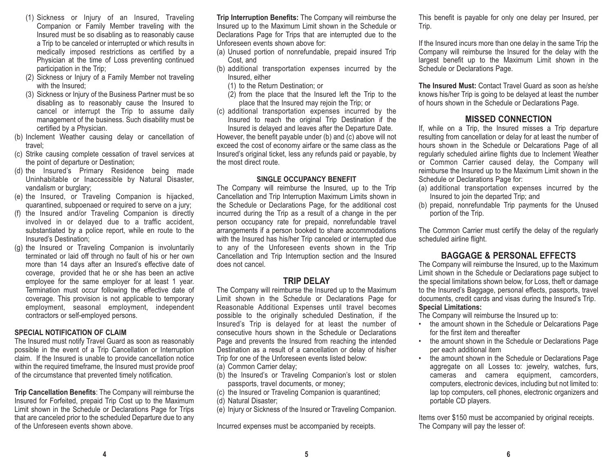- (1) Sickness or Injury of an Insured, Traveling Companion or Family Member traveling with the Insured must be so disabling as to reasonably cause a Trip to be canceled or interrupted or which results in medically imposed restrictions as certified by a Physician at the time of Loss preventing continued participation in the Trip;
- (2) Sickness or Injury of a Family Member not traveling with the Insured:
- (3) Sickness or Injury of the Business Partner must be so disabling as to reasonably cause the Insured to cancel or interrupt the Trip to assume daily management of the business. Such disability must be certified by a Physician.
- (b) Inclement Weather causing delay or cancellation of travel;
- (c) Strike causing complete cessation of travel services at the point of departure or Destination;
- (d) the Insured's Primary Residence being made Uninhabitable or Inaccessible by Natural Disaster, vandalism or burglary;
- (e) the Insured, or Traveling Companion is hijacked, quarantined, subpoenaed or required to serve on a jury;
- (f) the Insured and/or Traveling Companion is directly involved in or delayed due to a traffic accident, substantiated by a police report, while en route to the Insured's Destination;
- (g) the Insured or Traveling Companion is involuntarily terminated or laid off through no fault of his or her own more than 14 days after an Insured's effective date of coverage, provided that he or she has been an active employee for the same employer for at least 1 year. Termination must occur following the effective date of coverage. This provision is not applicable to temporary employment, seasonal employment, independent contractors or self-employed persons.

#### **SPECIAL NOTIFICATION OF CLAIM**

The Insured must notify Travel Guard as soon as reasonably possible in the event of a Trip Cancellation or Interruption claim. If the Insured is unable to provide cancellation notice within the required timeframe, the Insured must provide proof of the circumstance that prevented timely notification.

**Trip Cancellation Benefits**: The Company will reimburse the Insured for Forfeited, prepaid Trip Cost up to the Maximum Limit shown in the Schedule or Declarations Page for Trips that are canceled prior to the scheduled Departure due to any of the Unforeseen events shown above.

**Trip Interruption Benefits:** The Company will reimburse the Insured up to the Maximum Limit shown in the Schedule or Declarations Page for Trips that are interrupted due to the Unforeseen events shown above for:

- (a) Unused portion of nonrefundable, prepaid insured Trip Cost, and
- (b) additional transportation expenses incurred by the Insured, either
	- (1) to the Return Destination; or
	- (2) from the place that the Insured left the Trip to the place that the Insured may rejoin the Trip; or
- (c) additional transportation expenses incurred by the Insured to reach the original Trip Destination if the Insured is delayed and leaves after the Departure Date.

However, the benefit payable under (b) and (c) above will not exceed the cost of economy airfare or the same class as the Insured's original ticket, less any refunds paid or payable, by the most direct route.

#### **SINGLE OCCUPANCY BENEFIT**

The Company will reimburse the Insured, up to the Trip Cancellation and Trip Interruption Maximum Limits shown in the Schedule or Declarations Page, for the additional cost incurred during the Trip as a result of a change in the per person occupancy rate for prepaid, nonrefundable travel arrangements if a person booked to share accommodations with the Insured has his/her Trip canceled or interrupted due to any of the Unforeseen events shown in the Trip Cancellation and Trip Interruption section and the Insured does not cancel.

#### **TRIP DELAY**

 The Company will reimburse the Insured up to the Maximum Limit shown in the Schedule or Declarations Page for Reasonable Additional Expenses until travel becomes possible to the originally scheduled Destination, if the Insured's Trip is delayed for at least the number of consecutive hours shown in the Schedule or DeclarationsPage and prevents the Insured from reaching the intended Destination as a result of a cancellation or delay of his/her Trip for one of the Unforeseen events listed below: (a) Common Carrier delay;

- (b) the Insured's or Traveling Companion's lost or stolen passports, travel documents, or money;
- (c) the Insured or Traveling Companion is quarantined;
- (d) Natural Disaster;
- (e) Injury or Sickness of the Insured or Traveling Companion.

Incurred expenses must be accompanied by receipts.

This benefit is payable for only one delay per Insured, per Trip.

If the Insured incurs more than one delay in the same Trip the Company will reimburse the Insured for the delay with the largest benefit up to the Maximum Limit shown in the Schedule or Declarations Page.

**The Insured Must:** Contact Travel Guard as soon as he/sheknows his/her Trip is going to be delayed at least the number of hours shown in the Schedule or Declarations Page.

#### **MISSED CONNECTION**

If, while on a Trip, the Insured misses a Trip departure resulting from cancellation or delay for at least the number of hours shown in the Schedule or Delcarations Page of all regularly scheduled airline flights due to Inclement Weather or Common Carrier caused delay, the Company will reimburse the Insured up to the Maximum Limit shown in the Schedule or Declarations Page for:

- (a) additional transportation expenses incurred by the Insured to join the departed Trip; and
- (b) prepaid, nonrefundable Trip payments for the Unused portion of the Trip.

The Common Carrier must certify the delay of the regularly scheduled airline flight.

#### **BAGGAGE & PERSONAL EFFECTS**

The Company will reimburse the Insured, up to the Maximum Limit shown in the Schedule or Declarations page subject to the special limitations shown below, for Loss, theft or damage to the Insured's Baggage, personal effects, passports, travel documents, credit cards and visas during the Insured's Trip. **Special Limitations:** 

The Company will reimburse the Insured up to:

- the amount shown in the Schedule or Delcarations Page for the first item and thereafter
- the amount shown in the Schedule or Declarations Page per each additional item
- the amount shown in the Schedule or Declarations Page aggregate on all Losses to: jewelry, watches, furs, cameras and camera equipment, camcorders, computers, electronic devices, including but not limited to: lap top computers, cell phones, electronic organizers and portable CD players.

Items over \$150 must be accompanied by original receipts. The Company will pay the lesser of: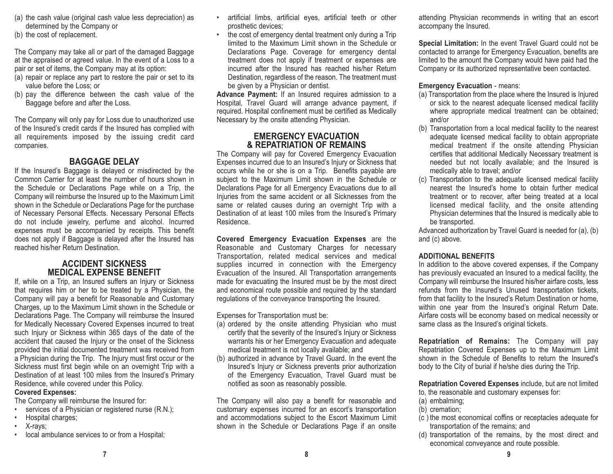- (a) the cash value (original cash value less depreciation) as determined by the Company or
- (b) the cost of replacement.

The Company may take all or part of the damaged Baggage at the appraised or agreed value. In the event of a Loss to a pair or set of items, the Company may at its option:

- (a) repair or replace any part to restore the pair or set to its value before the Loss; or
- (b) pay the difference between the cash value of the Baggage before and after the Loss.

The Company will only pay for Loss due to unauthorized use of the Insured's credit cards if the Insured has complied with all requirements imposed by the issuing credit card companies.

# **BAGGAGE DELAY**

If the Insured's Baggage is delayed or misdirected by the Common Carrier for at least the number of hours shown in the Schedule or Declarations Page while on a Trip, the Company will reimburse the Insured up to the Maximum Limit shown in the Schedule or Declarations Page for the purchase of Necessary Personal Effects. Necessary Personal Effects do not include jewelry, perfume and alcohol. Incurred expenses must be accompanied by receipts. This benefit does not apply if Baggage is delayed after the Insured has reached his/her Return Destination.

#### **ACCIDENT SICKNESSMEDICAL EXPENSE BENEFIT**

If, while on a Trip, an Insured suffers an Injury or Sickness that requires him or her to be treated by a Physician, the Company will pay a benefit for Reasonable and Customary Charges, up to the Maximum Limit shown in the Schedule or Declarations Page. The Company will reimburse the Insured for Medically Necessary Covered Expenses incurred to treat such Injury or Sickness within 365 days of the date of the accident that caused the Injury or the onset of the Sickness provided the initial documented treatment was received from a Physician during the Trip. The Injury must first occur or the Sickness must first begin while on an overnight Trip with a Destination of at least 100 miles from the Insured's Primary Residence, while covered under this Policy.

#### **Covered Expenses:**

The Company will reimburse the Insured for:

- •services of a Physician or registered nurse (R.N.);
- Hospital charges;
- X-rays;
- local ambulance services to or from a Hospital;
- • artificial limbs, artificial eyes, artificial teeth or other prosthetic devices;
- • the cost of emergency dental treatment only during a Trip limited to the Maximum Limit shown in the Schedule orDeclarations Page. Coverage for emergency dental treatment does not apply if treatment or expenses are incurred after the Insured has reached his/her ReturnDestination, regardless of the reason. The treatment must be given by a Physician or dentist.

**Advance Payment:** If an Insured requires admission to a Hospital, Travel Guard will arrange advance payment, if required. Hospital confinement must be certified as Medically Necessary by the onsite attending Physician.

#### **EMERGENCY EVACUATION & REPATRIATION OF REMAINS**

The Company will pay for Covered Emergency Evacuation Expenses incurred due to an Insured's Injury or Sickness that occurs while he or she is on a Trip. Benefits payable are subject to the Maximum Limit shown in the Schedule or Declarations Page for all Emergency Evacuations due to all Injuries from the same accident or all Sicknesses from the same or related causes during an overnight Trip with a Destination of at least 100 miles from the Insured's Primary Residence.

**Covered Emergency Evacuation Expenses** are the Reasonable and Customary Charges for necessary Transportation, related medical services and medical supplies incurred in connection with the Emergency Evacuation of the Insured. All Transportation arrangements made for evacuating the Insured must be by the most direct and economical route possible and required by the standard regulations of the conveyance transporting the Insured.

Expenses for Transportation must be:

- (a) ordered by the onsite attending Physician who must certify that the severity of the Insured's Injury or Sickness warrants his or her Emergency Evacuation and adequate medical treatment is not locally available; and
- (b) authorized in advance by Travel Guard. In the event the Insured's Injury or Sickness prevents prior authorization of the Emergency Evacuation, Travel Guard must be notified as soon as reasonably possible.

The Company will also pay a benefit for reasonable and customary expenses incurred for an escort's transportation and accommodations subject to the Escort Maximum Limit shown in the Schedule or Declarations Page if an onsite

attending Physician recommends in writing that an escort accompany the Insured.

**Special Limitation:** In the event Travel Guard could not be contacted to arrange for Emergency Evacuation, benefits are limited to the amount the Company would have paid had the Company or its authorized representative been contacted.

#### **Emergency Evacuation** - means:

- (a) Transportation from the place where the Insured is Injured or sick to the nearest adequate licensed medical facility where appropriate medical treatment can be obtained; and/or
- (b) Transportation from a local medical facility to the nearest adequate licensed medical facility to obtain appropriate medical treatment if the onsite attending Physician certifies that additional Medically Necessary treatment is needed but not locally available; and the Insured is medically able to travel; and/or
- (c) Transportation to the adequate licensed medical facility nearest the Insured's home to obtain further medicaltreatment or to recover, after being treated at a local licensed medical facility, and the onsite attending Physician determines that the Insured is medically able to be transported.

Advanced authorization by Travel Guard is needed for (a), (b) and (c) above.

#### **ADDITIONAL BENEFITS**

In addition to the above covered expenses, if the Company has previously evacuated an Insured to a medical facility, the Company will reimburse the Insured his/her airfare costs, less refunds from the Insured's Unused transportation tickets, from that facility to the Insured's Return Destination or home, within one year from the Insured's original Return Date. Airfare costs will be economy based on medical necessity or same class as the Insured's original tickets.

**Repatriation of Remains:** The Company will pay Repatriation Covered Expenses up to the Maximum Limit shown in the Schedule of Benefits to return the Insured'sbody to the City of burial if he/she dies during the Trip.

**Repatriation Covered Expenses** include, but are not limited to, the reasonable and customary expenses for:

- (a) embalming;
- (b) cremation;
- (c ) the most economical coffins or receptacles adequate for transportation of the remains; and
- (d) transportation of the remains, by the most direct and economical conveyance and route possible.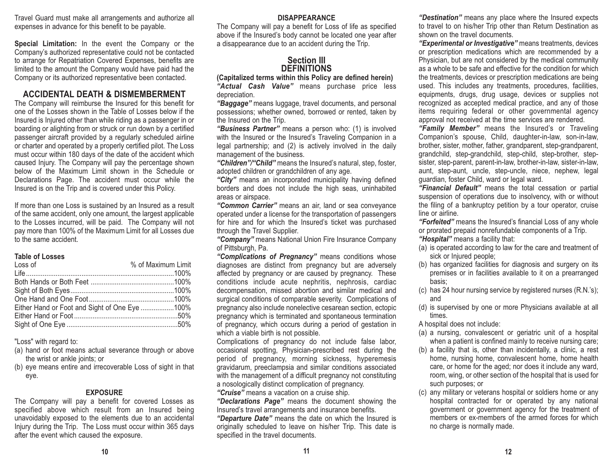Travel Guard must make all arrangements and authorize all expenses in advance for this benefit to be payable.

**Special Limitation:** In the event the Company or the Company's authorized representative could not be contacted to arrange for Repatriation Covered Expenses, benefits are limited to the amount the Company would have paid had the Company or its authorized representative been contacted.

# **ACCIDENTAL DEATH & DISMEMBERMENT**

The Company will reimburse the Insured for this benefit for one of the Losses shown in the Table of Losses below if theInsured is Injured other than while riding as a passenger in or boarding or alighting from or struck or run down by a certified passenger aircraft provided by a regularly scheduled airline or charter and operated by a properly certified pilot. The Loss must occur within 180 days of the date of the accident which caused Injury. The Company will pay the percentage shown below of the Maximum Limit shown in the Schedule orDeclarations Page. The accident must occur while the Insured is on the Trip and is covered under this Policy.

If more than one Loss is sustained by an Insured as a result of the same accident, only one amount, the largest applicable to the Losses incurred, will be paid. The Company will not pay more than 100% of the Maximum Limit for all Losses due to the same accident.

#### **Table of Losses**

| Loss of                                       | % of Maximum Limit |
|-----------------------------------------------|--------------------|
|                                               |                    |
|                                               |                    |
|                                               |                    |
|                                               |                    |
| Either Hand or Foot and Sight of One Eye 100% |                    |
|                                               |                    |
|                                               |                    |
|                                               |                    |

"Loss" with regard to:

- (a) hand or foot means actual severance through or above the wrist or ankle joints; or
- (b) eye means entire and irrecoverable Loss of sight in that eye.

#### **EXPOSURE**

The Company will pay a benefit for covered Losses as specified above which result from an Insured being unavoidably exposed to the elements due to an accidental Injury during the Trip. The Loss must occur within 365 days after the event which caused the exposure.

#### **DISAPPEARANCE**

The Company will pay a benefit for Loss of life as specified above if the Insured's body cannot be located one year after a disappearance due to an accident during the Trip.

### **Section IIIDEFINITIONS**

**(Capitalized terms within this Policy are defined herein)** *"Actual Cash Value"* means purchase price less depreciation.

*"Baggage"* means luggage, travel documents, and personal possessions; whether owned, borrowed or rented, taken by the Insured on the Trip.

*"Business Partner"* means a person who: (1) is involved with the Insured or the Insured's Traveling Companion in a legal partnership; and (2) is actively involved in the daily management of the business.

*"Children"/"Child"* means the Insured's natural, step, foster, adopted children or grandchildren of any age.

*"City"* means an incorporated municipality having defined borders and does not include the high seas, uninhabited areas or airspace.

*"Common Carrier"* means an air, land or sea conveyance operated under a license for the transportation of passengers for hire and for which the Insured's ticket was purchased through the Travel Supplier.

*"Company"* means National Union Fire Insurance Company of Pittsburgh, Pa.

*"Complications of Pregnancy"* means conditions whose diagnoses are distinct from pregnancy but are adversely affected by pregnancy or are caused by pregnancy. These conditions include acute nephritis, nephrosis, cardiac decompensation, missed abortion and similar medical and surgical conditions of comparable severity. Complications of pregnancy also include nonelective cesarean section, ectopic pregnancy which is terminated and spontaneous termination of pregnancy, which occurs during a period of gestation in which a viable birth is not possible.

Complications of pregnancy do not include false labor, occasional spotting, Physician-prescribed rest during the period of pregnancy, morning sickness, hyperemesis gravidarum, preeclampsia and similar conditions associated with the management of a difficult pregnancy not constituting a nosologically distinct complication of pregnancy. *"Cruise"* means a vacation on a cruise ship.

*"Declarations Page"* means the document showing the Insured's travel arrangements and insurance benefits.

*"Departure Date"* means the date on which the Insured is originally scheduled to leave on his/her Trip. This date is specified in the travel documents.

*"Destination"* means any place where the Insured expects to travel to on his/her Trip other than Return Destination as shown on the travel documents.

*"Experimental or Investigative"* means treatments, devices or prescription medications which are recommended by a Physician, but are not considered by the medical community as a whole to be safe and effective for the condition for whichthe treatments, devices or prescription medications are being used. This includes any treatments, procedures, facilities, equipments, drugs, drug usage, devices or supplies not recognized as accepted medical practice, and any of those items requiring federal or other governmental agency approval not received at the time services are rendered.

*"Family Member"* means the Insured's or Traveling Companion's spouse, Child, daughter-in-law, son-in-law, brother, sister, mother, father, grandparent, step-grandparent, grandchild, step-grandchild, step-child, step-brother, stepsister, step-parent, parent-in-law, brother-in-law, sister-in-law, aunt, step-aunt, uncle, step-uncle, niece, nephew, legal guardian, foster Child, ward or legal ward.

*"Financial Default"* means the total cessation or partial suspension of operations due to insolvency, with or without the filing of a bankruptcy petition by a tour operator, cruise line or airline.

*"Forfeited"* means the Insured's financial Loss of any whole or prorated prepaid nonrefundable components of a Trip. *"Hospital"* means a facility that:

- (a) is operated according to law for the care and treatment of sick or Injured people;
- (b) has organized facilities for diagnosis and surgery on its premises or in facilities available to it on a prearranged basis;
- (c) has 24 hour nursing service by registered nurses (R.N.'s); and
- (d) is supervised by one or more Physicians available at all times.
- A hospital does not include:
- (a) a nursing, convalescent or geriatric unit of a hospital when a patient is confined mainly to receive nursing care;
- (b) a facility that is, other than incidentally, a clinic, a rest home, nursing home, convalescent home, home health care, or home for the aged; nor does it include any ward, room, wing, or other section of the hospital that is used for such purposes; or
- (c) any military or veterans hospital or soldiers home or any hospital contracted for or operated by any national government or government agency for the treatment of members or ex-members of the armed forces for whichno charge is normally made.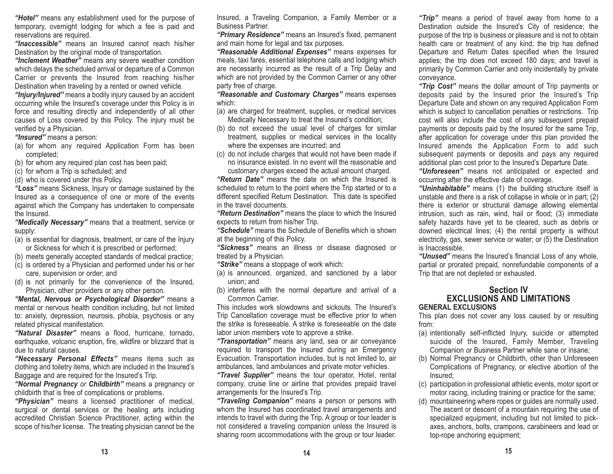*"Hotel"* means any establishment used for the purpose of temporary, overnight lodging for which a fee is paid and reservations are required.

*"Inaccessible"* means an Insured cannot reach his/her Destination by the original mode of transportation.

*"Inclement Weather"* means any severe weather condition which delays the scheduled arrival or departure of a Common Carrier or prevents the Insured from reaching his/her Destination when traveling by a rented or owned vehicle.

*"Injury/Injured"* means a bodily injury caused by an accident occurring while the Insured's coverage under this Policy is in force and resulting directly and independently of all other causes of Loss covered by this Policy. The injury must be verified by a Physician.

*"Insured"* means a person:

- (a) for whom any required Application Form has been completed;
- (b) for whom any required plan cost has been paid;
- (c) for whom a Trip is scheduled; and
- (d) who is covered under this Policy.

*"Loss"* means Sickness, Injury or damage sustained by the Insured as a consequence of one or more of the events against which the Company has undertaken to compensate the Insured.

*"Medically Necessary"* means that a treatment, service or supply:

- (a) is essential for diagnosis, treatment, or care of the Injury or Sickness for which it is prescribed or performed;
- (b) meets generally accepted standards of medical practice;
- (c) is ordered by a Physician and performed under his or her care, supervision or order; and
- (d) is not primarily for the convenience of the Insured, Physician, other providers or any other person.

*"Mental, Nervous or Psychological Disorder"* means a mental or nervous health condition including, but not limited to: anxiety, depression, neurosis, phobia, psychosis or any related physical manifestation.

*"Natural Disaster"* means a flood, hurricane, tornado, earthquake, volcanic eruption, fire, wildfire or blizzard that is due to natural causes.

*"Necessary Personal Effects"* means items such as clothing and toiletry items, which are included in the Insured's Baggage and are required for the Insured's Trip.

*"Normal Pregnancy or Childbirth"* means a pregnancy or childbirth that is free of complications or problems.

*"Physician"* means a licensed practitioner of medical, surgical or dental services or the healing arts including accredited Christian Science Practitioner, acting within the scope of his/her license. The treating physician cannot be the Insured, a Traveling Companion, a Family Member or a Business Partner.

*"Primary Residence"* means an Insured's fixed, permanent and main home for legal and tax purposes.

*"Reasonable Additional Expenses"* means expenses for meals, taxi fares, essential telephone calls and lodging which are necessarily incurred as the result of a Trip Delay and which are not provided by the Common Carrier or any other party free of charge.

*"Reasonable and Customary Charges"* means expenses which:

- (a) are charged for treatment, supplies, or medical services Medically Necessary to treat the Insured's condition;
- (b) do not exceed the usual level of charges for similar treatment, supplies or medical services in the locality where the expenses are incurred; and
- (c) do not include charges that would not have been made if no insurance existed. In no event will the reasonable andcustomary charges exceed the actual amount charged.

*"Return Date"* means the date on which the Insured is scheduled to return to the point where the Trip started or to a different specified Return Destination. This date is specified in the travel documents.

*"Return Destination"* means the place to which the Insured expects to return from his/her Trip.

*"Schedule"* means the Schedule of Benefits which is shownat the beginning of this Policy.

*"Sickness"* means an illness or disease diagnosed or treated by a Physician.

- *"Strike"* means a stoppage of work which:
- (a) is announced, organized, and sanctioned by a labor union; and
- (b) interferes with the normal departure and arrival of a Common Carrier.

This includes work slowdowns and sickouts. The Insured'sTrip Cancellation coverage must be effective prior to when the strike is foreseeable. A strike is foreseeable on the datelabor union members vote to approve a strike.

*"Transportation"* means any land, sea or air conveyance required to transport the Insured during an Emergency Evacuation. Transportation includes, but is not limited to, air ambulances, land ambulances and private motor vehicles.

*"Travel Supplier"* means the tour operator, Hotel, rental company, cruise line or airline that provides prepaid travel arrangements for the Insured's Trip.

*"Traveling Companion"* means a person or persons with whom the Insured has coordinated travel arrangements and intends to travel with during the Trip. A group or tour leader is not considered a traveling companion unless the Insured is sharing room accommodations with the group or tour leader.

*"Trip"* means a period of travel away from home to a Destination outside the Insured's City of residence; the purpose of the trip is business or pleasure and is not to obtain health care or treatment of any kind; the trip has defined Departure and Return Dates specified when the Insured applies; the trip does not exceed 180 days; and travel is primarily by Common Carrier and only incidentally by private conveyance.

*"Trip Cost"* means the dollar amount of Trip payments or deposits paid by the Insured prior the Insured's Trip Departure Date and shown on any required Application Form which is subject to cancellation penalties or restrictions. Trip cost will also include the cost of any subsequent prepaid payments or deposits paid by the Insured for the same Trip, after application for coverage under this plan provided the Insured amends the Application Form to add such subsequent payments or deposits and pays any required additional plan cost prior to the Insured's Departure Date.

*"Unforeseen"* means not anticipated or expected and occurring after the effective date of coverage.

*"Uninhabitable"* means (1) the building structure itself is unstable and there is a risk of collapse in whole or in part; (2) there is exterior or structural damage allowing elemental intrusion, such as rain, wind, hail or flood; (3) immediate safety hazards have yet to be cleared, such as debris or downed electrical lines; (4) the rental property is without electricity, gas, sewer service or water; or (5) the Destination is Inaccessible.

*"Unused"* means the Insured's financial Loss of any whole, partial or prorated prepaid, nonrefundable components of a Trip that are not depleted or exhausted.

#### **Section IV EXCLUSIONS AND LIMITATIONSGENERAL EXCLUSIONS**

This plan does not cover any loss caused by or resulting from:

- (a) intentionally self-inflicted Injury, suicide or attempted suicide of the Insured, Family Member, Traveling Companion or Business Partner while sane or insane;
- (b) Normal Pregnancy or Childbirth, other than Unforeseen Complications of Pregnancy, or elective abortion of the Insured;
- (c) participation in professional athletic events, motor sport or motor racing, including training or practice for the same;
- (d) mountaineering where ropes or guides are normally used. The ascent or descent of a mountain requiring the use of specialized equipment, including but not limited to pickaxes, anchors, bolts, crampons, carabineers and lead or top-rope anchoring equipment;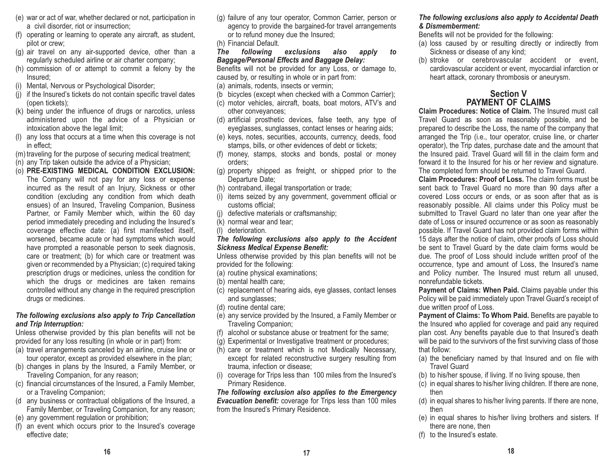- (e) war or act of war, whether declared or not, participation in a civil disorder, riot or insurrection;
- (f) operating or learning to operate any aircraft, as student, pilot or crew;
- (g) air travel on any air-supported device, other than a regularly scheduled airline or air charter company;
- (h) commission of or attempt to commit a felony by the Insured;
- (i) Mental, Nervous or Psychological Disorder;
- (j) if the Insured's tickets do not contain specific travel dates (open tickets);
- (k) being under the influence of drugs or narcotics, unless administered upon the advice of a Physician or intoxication above the legal limit;
- (l) any loss that occurs at a time when this coverage is not in effect;
- (m) traveling for the purpose of securing medical treatment;
- (n) any Trip taken outside the advice of a Physician;
- (o) **PRE-EXISTING MEDICAL CONDITION EXCLUSION:** The Company will not pay for any loss or expense incurred as the result of an Injury, Sickness or other condition (excluding any condition from which death ensues) of an Insured, Traveling Companion, Business Partner, or Family Member which, within the 60 day period immediately preceding and including the Insured's coverage effective date: (a) first manifested itself, worsened, became acute or had symptoms which would have prompted a reasonable person to seek diagnosis, care or treatment; (b) for which care or treatment was given or recommended by a Physician; (c) required taking prescription drugs or medicines, unless the condition for which the drugs or medicines are taken remains controlled without any change in the required prescription drugs or medicines.

#### *The following exclusions also apply to Trip Cancellation and Trip Interruption:*

Unless otherwise provided by this plan benefits will not be provided for any loss resulting (in whole or in part) from:

- (a) travel arrangements canceled by an airline, cruise line or tour operator, except as provided elsewhere in the plan;
- (b) changes in plans by the Insured, a Family Member, or Traveling Companion, for any reason;
- (c) financial circumstances of the Insured, a Family Member, or a Traveling Companion;
- (d any business or contractual obligations of the Insured, a Family Member, or Traveling Companion, for any reason;
- (e) any government regulation or prohibition;
- (f) an event which occurs prior to the Insured's coverage effective date;
- (g) failure of any tour operator, Common Carrier, person or agency to provide the bargained-for travel arrangements or to refund money due the Insured;
- (h) Financial Default.

*The following exclusions also apply to Baggage/Personal Effects and Baggage Delay:* 

Benefits will not be provided for any Loss, or damage to, caused by, or resulting in whole or in part from: (a) animals, rodents, insects or vermin;

- (b bicycles (except when checked with a Common Carrier);
- (c) motor vehicles, aircraft, boats, boat motors, ATV's and other conveyances;
- (d) artificial prosthetic devices, false teeth, any type of eyeglasses, sunglasses, contact lenses or hearing aids;
- (e) keys, notes, securities, accounts, currency, deeds, food stamps, bills, or other evidences of debt or tickets;
- (f) money, stamps, stocks and bonds, postal or money orders;
- (g) property shipped as freight, or shipped prior to the Departure Date;
- (h) contraband, illegal transportation or trade;
- (i) items seized by any government, government official or customs official;
- (j) defective materials or craftsmanship;
- (k) normal wear and tear;
- (l) deterioration.

#### *The following exclusions also apply to the Accident Sickness Medical Expense Benefit:*

Unless otherwise provided by this plan benefits will not be provided for the following:

- (a) routine physical examinations;
- (b) mental health care;
- (c) replacement of hearing aids, eye glasses, contact lenses and sunglasses;
- (d) routine dental care;
- (e) any service provided by the Insured, a Family Member or Traveling Companion;
- (f) alcohol or substance abuse or treatment for the same;
- (g) Experimental or Investigative treatment or procedures;
- (h) care or treatment which is not Medically Necessary, except for related reconstructive surgery resulting from trauma, infection or disease;
- (i) coverage for Trips less than 100 miles from the Insured's Primary Residence.

*The following exclusion also applies to the Emergency Evacuation benefit:* coverage for Trips less than 100 miles from the Insured's Primary Residence.

#### *The following exclusions also apply to Accidental Death & Dismemberment:*

Benefits will not be provided for the following:

- (a) loss caused by or resulting directly or indirectly from Sickness or disease of any kind;
- (b) stroke or cerebrovascular accident or event, cardiovascular accident or event, myocardial infarction or heart attack, coronary thrombosis or aneurysm.

# **Section VPAYMENT OF CLAIMS**

**Claim Procedures: Notice of Claim.** The Insured must call Travel Guard as soon as reasonably possible, and be prepared to describe the Loss, the name of the company that arranged the Trip (i.e., tour operator, cruise line, or charter operator), the Trip dates, purchase date and the amount that the Insured paid. Travel Guard will fill in the claim form and forward it to the Insured for his or her review and signature. The completed form should be returned to Travel Guard.

**Claim Procedures: Proof of Loss.** The claim forms must besent back to Travel Guard no more than 90 days after a covered Loss occurs or ends, or as soon after that as is reasonably possible. All claims under this Policy must be submitted to Travel Guard no later than one year after the date of Loss or insured occurrence or as soon as reasonably possible. If Travel Guard has not provided claim forms within 15 days after the notice of claim, other proofs of Loss should be sent to Travel Guard by the date claim forms would be due. The proof of Loss should include written proof of the occurrence, type and amount of Loss, the Insured's name and Policy number. The Insured must return all unused, nonrefundable tickets.

 **Payment of Claims: When Paid.** Claims payable under this Policy will be paid immediately upon Travel Guard's receipt of due written proof of Loss.

**Payment of Claims: To Whom Paid.** Benefits are payable to the Insured who applied for coverage and paid any required plan cost. Any benefits payable due to that Insured's death will be paid to the survivors of the first surviving class of those that follow:

- (a) the beneficiary named by that Insured and on file with Travel Guard
- (b) to his/her spouse, if living. If no living spouse, then
- (c) in equal shares to his/her living children. If there are none, then
- (d) in equal shares to his/her living parents. If there are none, then
- (e) in equal shares to his/her living brothers and sisters. If there are none, then
- (f) to the Insured's estate.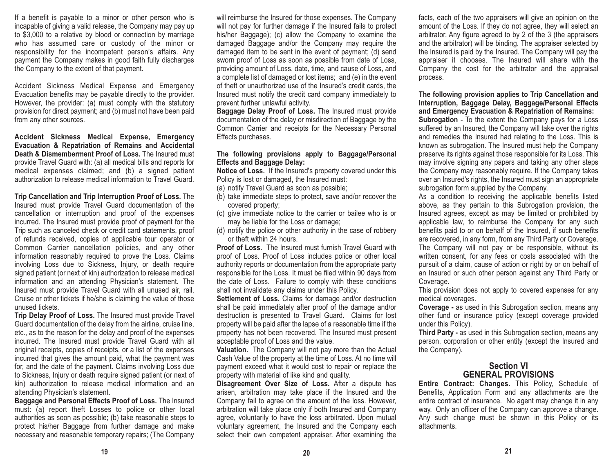If a benefit is payable to a minor or other person who is incapable of giving a valid release, the Company may pay up to \$3,000 to a relative by blood or connection by marriage who has assumed care or custody of the minor or responsibility for the incompetent person's affairs. Any payment the Company makes in good faith fully discharges the Company to the extent of that payment.

Accident Sickness Medical Expense and Emergency Evacuation benefits may be payable directly to the provider. However, the provider: (a) must comply with the statutory provision for direct payment; and (b) must not have been paid from any other sources.

**Accident Sickness Medical Expense, Emergency Evacuation & Repatriation of Remains and Accidental Death & Dismemberment Proof of Loss.** The Insured must provide Travel Guard with: (a) all medical bills and reports for medical expenses claimed; and (b) a signed patient authorization to release medical information to Travel Guard.

**Trip Cancellation and Trip Interruption Proof of Loss.** The Insured must provide Travel Guard documentation of the cancellation or interruption and proof of the expenses incurred. The Insured must provide proof of payment for the Trip such as canceled check or credit card statements, proof of refunds received, copies of applicable tour operator or Common Carrier cancellation policies, and any other information reasonably required to prove the Loss. Claims involving Loss due to Sickness, Injury, or death require signed patient (or next of kin) authorization to release medical information and an attending Physician's statement. The Insured must provide Travel Guard with all unused air, rail, Cruise or other tickets if he/she is claiming the value of those unused tickets.

**Trip Delay Proof of Loss.** The Insured must provide Travel Guard documentation of the delay from the airline, cruise line, etc., as to the reason for the delay and proof of the expenses incurred. The Insured must provide Travel Guard with all original receipts, copies of receipts, or a list of the expenses incurred that gives the amount paid, what the payment was for, and the date of the payment. Claims involving Loss due to Sickness, Injury or death require signed patient (or next of kin) authorization to release medical information and an attending Physician's statement.

**Baggage and Personal Effects Proof of Loss.** The Insured must: (a) report theft Losses to police or other local authorities as soon as possible; (b) take reasonable steps to protect his/her Baggage from further damage and make necessary and reasonable temporary repairs; (The Company will reimburse the Insured for those expenses. The Company will not pay for further damage if the Insured fails to protect his/her Baggage); (c) allow the Company to examine the damaged Baggage and/or the Company may require the damaged item to be sent in the event of payment; (d) send sworn proof of Loss as soon as possible from date of Loss, providing amount of Loss, date, time, and cause of Loss, and a complete list of damaged or lost items; and (e) in the event of theft or unauthorized use of the Insured's credit cards, the Insured must notify the credit card company immediately to prevent further unlawful activity.

**Baggage Delay Proof of Loss.** The Insured must provide documentation of the delay or misdirection of Baggage by the Common Carrier and receipts for the Necessary Personal Effects purchases.

#### **The following provisions apply to Baggage/Personal Effects and Baggage Delay:**

**Notice of Loss.** If the Insured's property covered under this Policy is lost or damaged, the Insured must:

(a) notify Travel Guard as soon as possible;

- (b) take immediate steps to protect, save and/or recover the covered property;
- (c) give immediate notice to the carrier or bailee who is or may be liable for the Loss or damage;
- (d) notify the police or other authority in the case of robbery or theft within 24 hours.

**Proof of Loss.** The Insured must furnish Travel Guard withproof of Loss. Proof of Loss includes police or other local authority reports or documentation from the appropriate party responsible for the Loss. It must be filed within 90 days from the date of Loss. Failure to comply with these conditions shall not invalidate any claims under this Policy.

**Settlement of Loss.** Claims for damage and/or destruction shall be paid immediately after proof of the damage and/or destruction is presented to Travel Guard. Claims for lost property will be paid after the lapse of a reasonable time if the property has not been recovered. The Insured must present acceptable proof of Loss and the value.

**Valuation.** The Company will not pay more than the Actual Cash Value of the property at the time of Loss. At no time will payment exceed what it would cost to repair or replace the property with material of like kind and quality.

**Disagreement Over Size of Loss.** After a dispute has arisen, arbitration may take place if the Insured and the Company fail to agree on the amount of the loss. However, arbitration will take place only if both Insured and Company agree, voluntarily to have the loss arbitrated. Upon mutual voluntary agreement, the Insured and the Company each select their own competent appraiser. After examining the facts, each of the two appraisers will give an opinion on the amount of the Loss. If they do not agree, they will select an arbitrator. Any figure agreed to by 2 of the 3 (the appraisers and the arbitrator) will be binding. The appraiser selected by the Insured is paid by the Insured. The Company will pay the appraiser it chooses. The Insured will share with the Company the cost for the arbitrator and the appraisal process.

**The following provision applies to Trip Cancellation and Interruption, Baggage Delay, Baggage/Personal Effects and Emergency Evacuation & Repatriation of Remains:** 

**Subrogation** - To the extent the Company pays for a Loss suffered by an Insured, the Company will take over the rights and remedies the Insured had relating to the Loss. This is known as subrogation. The Insured must help the Company preserve its rights against those responsible for its Loss. This may involve signing any papers and taking any other steps the Company may reasonably require. If the Company takes over an Insured's rights, the Insured must sign an appropriate subrogation form supplied by the Company.

As a condition to receiving the applicable benefits listed above, as they pertain to this Subrogation provision, the Insured agrees, except as may be limited or prohibited by applicable law, to reimburse the Company for any such benefits paid to or on behalf of the Insured, if such benefits are recovered, in any form, from any Third Party or Coverage. The Company will not pay or be responsible, without its written consent, for any fees or costs associated with the pursuit of a claim, cause of action or right by or on behalf of an Insured or such other person against any Third Party or Coverage.

This provision does not apply to covered expenses for any medical coverages.

**Coverage -** as used in this Subrogation section, means any other fund or insurance policy (except coverage provided under this Policy).

**Third Party -** as used in this Subrogation section, means any person, corporation or other entity (except the Insured and the Company).

#### **Section VIGENERAL PROVISIONS**

**Entire Contract: Changes.** This Policy, Schedule of Benefits, Application Form and any attachments are the entire contract of insurance. No agent may change it in any way. Only an officer of the Company can approve a change. Any such change must be shown in this Policy or its attachments.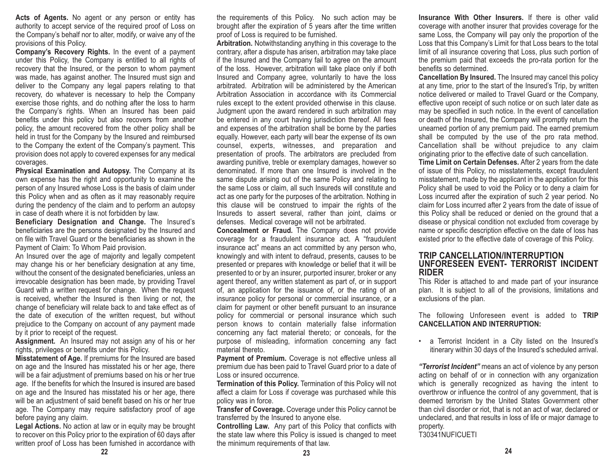Acts of Agents. No agent or any person or entity has authority to accept service of the required proof of Loss on the Company's behalf nor to alter, modify, or waive any of the provisions of this Policy.

**Company's Recovery Rights.** In the event of a payment under this Policy, the Company is entitled to all rights of recovery that the Insured, or the person to whom payment was made, has against another. The Insured must sign and deliver to the Company any legal papers relating to that recovery, do whatever is necessary to help the Company exercise those rights, and do nothing after the loss to harm the Company's rights. When an Insured has been paid benefits under this policy but also recovers from another policy, the amount recovered from the other policy shall be held in trust for the Company by the Insured and reimbursed to the Company the extent of the Company's payment. This provision does not apply to covered expenses for any medical coverages.

**Physical Examination and Autopsy.** The Company at its own expense has the right and opportunity to examine the person of any Insured whose Loss is the basis of claim under this Policy when and as often as it may reasonably require during the pendency of the claim and to perform an autopsy in case of death where it is not forbidden by law.

**Beneficiary Designation and Change.** The Insured's beneficiaries are the persons designated by the Insured and on file with Travel Guard or the beneficiaries as shown in thePayment of Claim: To Whom Paid provision.

An Insured over the age of majority and legally competent may change his or her beneficiary designation at any time, without the consent of the designated beneficiaries, unless an irrevocable designation has been made, by providing Travel Guard with a written request for change. When the request is received, whether the Insured is then living or not, the change of beneficiary will relate back to and take effect as of the date of execution of the written request, but without prejudice to the Company on account of any payment made by it prior to receipt of the request.

**Assignment.** An Insured may not assign any of his or her rights, privileges or benefits under this Policy.

**Misstatement of Age.** If premiums for the Insured are based on age and the Insured has misstated his or her age, there will be a fair adjustment of premiums based on his or her true age. If the benefits for which the Insured is insured are based on age and the Insured has misstated his or her age, there will be an adjustment of said benefit based on his or her true age. The Company may require satisfactory proof of age before paying any claim.

**Legal Actions.** No action at law or in equity may be brought to recover on this Policy prior to the expiration of 60 days after written proof of Loss has been furnished in accordance with

the requirements of this Policy. No such action may be brought after the expiration of 5 years after the time written proof of Loss is required to be furnished.

**Arbitration.** Notwithstanding anything in this coverage to the contrary, after a dispute has arisen, arbitration may take place if the Insured and the Company fail to agree on the amount of the loss. However, arbitration will take place only if both Insured and Company agree, voluntarily to have the loss arbitrated. Arbitration will be administered by the American Arbitration Association in accordance with its Commercialrules except to the extent provided otherwise in this clause. Judgment upon the award rendered in such arbitration may be entered in any court having jurisdiction thereof. All fees and expenses of the arbitration shall be borne by the parties equally. However, each party will bear the expense of its own counsel, experts, witnesses, and preparation and presentation of proofs. The arbitrators are precluded from awarding punitive, treble or exemplary damages, however so denominated. If more than one Insured is involved in the same dispute arising out of the same Policy and relating to the same Loss or claim, all such Insureds will constitute and act as one party for the purposes of the arbitration. Nothing in this clause will be construed to impair the rights of the Insureds to assert several, rather than joint, claims or defenses. Medical coverage will not be arbitrated.

**Concealment or Fraud.** The Company does not provide coverage for a fraudulent insurance act. A "fraudulent insurance act" means an act committed by any person who, knowingly and with intent to defraud, presents, causes to be presented or prepares with knowledge or belief that it will be presented to or by an insurer, purported insurer, broker or any agent thereof, any written statement as part of, or in support of, an application for the issuance of, or the rating of an insurance policy for personal or commercial insurance, or a claim for payment or other benefit pursuant to an insurance policy for commercial or personal insurance which such person knows to contain materially false information concerning any fact material thereto; or conceals, for the purpose of misleading, information concerning any fact material thereto.

**Payment of Premium.** Coverage is not effective unless all premium due has been paid to Travel Guard prior to a date of Loss or insured occurrence.

**Termination of this Policy.** Termination of this Policy will not affect a claim for Loss if coverage was purchased while this policy was in force.

**Transfer of Coverage.** Coverage under this Policy cannot be transferred by the Insured to anyone else.

**Controlling Law.** Any part of this Policy that conflicts with the state law where this Policy is issued is changed to meet the minimum requirements of that law.

**Insurance With Other Insurers.** If there is other valid coverage with another insurer that provides coverage for the same Loss, the Company will pay only the proportion of the Loss that this Company's Limit for that Loss bears to the total limit of all insurance covering that Loss, plus such portion of the premium paid that exceeds the pro-rata portion for the benefits so determined.

**Cancellation By Insured.** The Insured may cancel this policy at any time, prior to the start of the Insured's Trip, by written notice delivered or mailed to Travel Guard or the Company, effective upon receipt of such notice or on such later date as may be specified in such notice. In the event of cancellation or death of the Insured, the Company will promptly return the unearned portion of any premium paid. The earned premium shall be computed by the use of the pro rata method. Cancellation shall be without prejudice to any claim originating prior to the effective date of such cancellation.

**Time Limit on Certain Defenses.** After 2 years from the date of issue of this Policy, no misstatements, except fraudulent misstatement, made by the applicant in the application for this Policy shall be used to void the Policy or to deny a claim for Loss incurred after the expiration of such 2 year period. No claim for Loss incurred after 2 years from the date of issue of this Policy shall be reduced or denied on the ground that a disease or physical condition not excluded from coverage by name or specific description effective on the date of loss has existed prior to the effective date of coverage of this Policy.

#### **TRIP CANCELLATION/INTERRUPTION UNFORESEEN EVENT- TERRORIST INCIDENTRIDER**

This Rider is attached to and made part of your insurance plan. It is subject to all of the provisions, limitations and exclusions of the plan.

The following Unforeseen event is added to **TRIP CANCELLATION AND INTERRUPTION:**

• a Terrorist Incident in a City listed on the Insured's itinerary within 30 days of the Insured's scheduled arrival.

*"Terrorist Incident"* means an act of violence by any person acting on behalf of or in connection with any organization which is generally recognized as having the intent to overthrow or influence the control of any government, that is deemed terrorism by the United States Government other than civil disorder or riot, that is not an act of war, declared or undeclared, and that results in loss of life or major damage to property.

T30341NUFICUETI